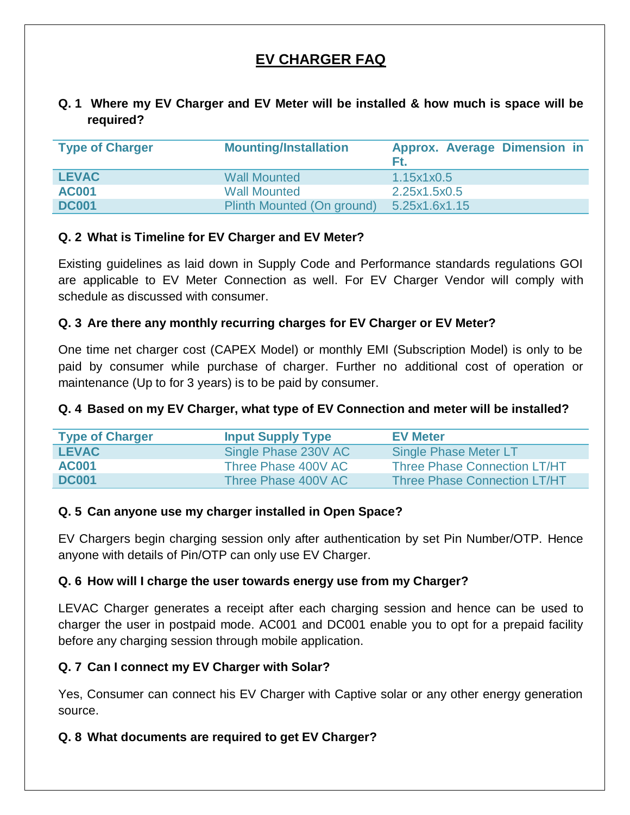# **EV CHARGER FAQ**

## **Q. 1 Where my EV Charger and EV Meter will be installed & how much is space will be required?**

| <b>Type of Charger</b> | <b>Mounting/Installation</b> | Approx. Average Dimension in<br>Ft. |
|------------------------|------------------------------|-------------------------------------|
| <b>LEVAC</b>           | <b>Wall Mounted</b>          | 1.15x1x0.5                          |
| <b>AC001</b>           | <b>Wall Mounted</b>          | 2.25x1.5x0.5                        |
| <b>DC001</b>           | Plinth Mounted (On ground)   | 5.25x1.6x1.15                       |

#### **Q. 2 What is Timeline for EV Charger and EV Meter?**

Existing guidelines as laid down in Supply Code and Performance standards regulations GOI are applicable to EV Meter Connection as well. For EV Charger Vendor will comply with schedule as discussed with consumer.

#### **Q. 3 Are there any monthly recurring charges for EV Charger or EV Meter?**

One time net charger cost (CAPEX Model) or monthly EMI (Subscription Model) is only to be paid by consumer while purchase of charger. Further no additional cost of operation or maintenance (Up to for 3 years) is to be paid by consumer.

#### **Q. 4 Based on my EV Charger, what type of EV Connection and meter will be installed?**

| <b>Type of Charger</b> | <b>Input Supply Type</b> | <b>EV Meter</b>                     |
|------------------------|--------------------------|-------------------------------------|
| <b>LEVAC</b>           | Single Phase 230V AC     | Single Phase Meter LT               |
| <b>AC001</b>           | Three Phase 400V AC      | <b>Three Phase Connection LT/HT</b> |
| <b>DC001</b>           | Three Phase 400V AC      | <b>Three Phase Connection LT/HT</b> |

#### **Q. 5 Can anyone use my charger installed in Open Space?**

EV Chargers begin charging session only after authentication by set Pin Number/OTP. Hence anyone with details of Pin/OTP can only use EV Charger.

#### **Q. 6 How will I charge the user towards energy use from my Charger?**

LEVAC Charger generates a receipt after each charging session and hence can be used to charger the user in postpaid mode. AC001 and DC001 enable you to opt for a prepaid facility before any charging session through mobile application.

#### **Q. 7 Can I connect my EV Charger with Solar?**

Yes, Consumer can connect his EV Charger with Captive solar or any other energy generation source.

#### **Q. 8 What documents are required to get EV Charger?**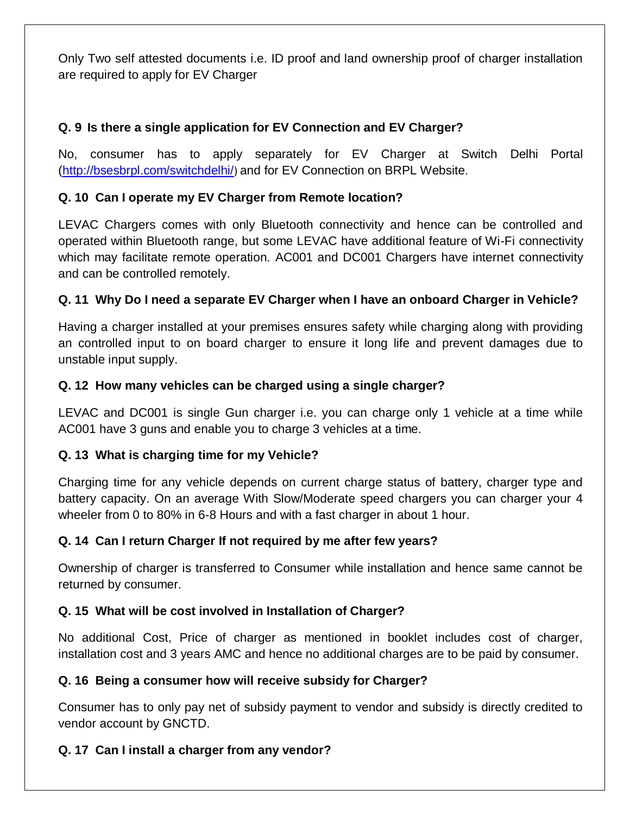Only Two self attested documents i.e. ID proof and land ownership proof of charger installation are required to apply for EV Charger

# **Q. 9 Is there a single application for EV Connection and EV Charger?**

No, consumer has to apply separately for EV Charger at Switch Delhi Portal [\(http://bsesbrpl.com/switchdelhi/](http://bsesbrpl.com/switchdelhi/)) and for EV Connection on BRPL Website.

# **Q. 10 Can I operate my EV Charger from Remote location?**

LEVAC Chargers comes with only Bluetooth connectivity and hence can be controlled and operated within Bluetooth range, but some LEVAC have additional feature of Wi-Fi connectivity which may facilitate remote operation. AC001 and DC001 Chargers have internet connectivity and can be controlled remotely.

# **Q. 11 Why Do I need a separate EV Charger when I have an onboard Charger in Vehicle?**

Having a charger installed at your premises ensures safety while charging along with providing an controlled input to on board charger to ensure it long life and prevent damages due to unstable input supply.

## **Q. 12 How many vehicles can be charged using a single charger?**

LEVAC and DC001 is single Gun charger i.e. you can charge only 1 vehicle at a time while AC001 have 3 guns and enable you to charge 3 vehicles at a time.

## **Q. 13 What is charging time for my Vehicle?**

Charging time for any vehicle depends on current charge status of battery, charger type and battery capacity. On an average With Slow/Moderate speed chargers you can charger your 4 wheeler from 0 to 80% in 6-8 Hours and with a fast charger in about 1 hour.

## **Q. 14 Can I return Charger If not required by me after few years?**

Ownership of charger is transferred to Consumer while installation and hence same cannot be returned by consumer.

## **Q. 15 What will be cost involved in Installation of Charger?**

No additional Cost, Price of charger as mentioned in booklet includes cost of charger, installation cost and 3 years AMC and hence no additional charges are to be paid by consumer.

## **Q. 16 Being a consumer how will receive subsidy for Charger?**

Consumer has to only pay net of subsidy payment to vendor and subsidy is directly credited to vendor account by GNCTD.

## **Q. 17 Can I install a charger from any vendor?**